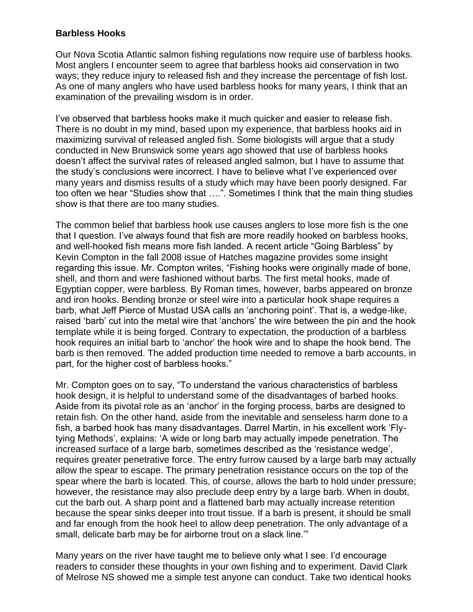## **Barbless Hooks**

Our Nova Scotia Atlantic salmon fishing regulations now require use of barbless hooks. Most anglers I encounter seem to agree that barbless hooks aid conservation in two ways; they reduce injury to released fish and they increase the percentage of fish lost. As one of many anglers who have used barbless hooks for many years, I think that an examination of the prevailing wisdom is in order.

I've observed that barbless hooks make it much quicker and easier to release fish. There is no doubt in my mind, based upon my experience, that barbless hooks aid in maximizing survival of released angled fish. Some biologists will argue that a study conducted in New Brunswick some years ago showed that use of barbless hooks doesn't affect the survival rates of released angled salmon, but I have to assume that the study's conclusions were incorrect. I have to believe what I've experienced over many years and dismiss results of a study which may have been poorly designed. Far too often we hear "Studies show that ….". Sometimes I think that the main thing studies show is that there are too many studies.

The common belief that barbless hook use causes anglers to lose more fish is the one that I question. I've always found that fish are more readily hooked on barbless hooks, and well-hooked fish means more fish landed. A recent article "Going Barbless" by Kevin Compton in the fall 2008 issue of Hatches magazine provides some insight regarding this issue. Mr. Compton writes, "Fishing hooks were originally made of bone, shell, and thorn and were fashioned without barbs. The first metal hooks, made of Egyptian copper, were barbless. By Roman times, however, barbs appeared on bronze and iron hooks. Bending bronze or steel wire into a particular hook shape requires a barb, what Jeff Pierce of Mustad USA calls an 'anchoring point'. That is, a wedge-like, raised 'barb' cut into the metal wire that 'anchors' the wire between the pin and the hook template while it is being forged. Contrary to expectation, the production of a barbless hook requires an initial barb to 'anchor' the hook wire and to shape the hook bend. The barb is then removed. The added production time needed to remove a barb accounts, in part, for the higher cost of barbless hooks."

Mr. Compton goes on to say, "To understand the various characteristics of barbless hook design, it is helpful to understand some of the disadvantages of barbed hooks. Aside from its pivotal role as an 'anchor' in the forging process, barbs are designed to retain fish. On the other hand, aside from the inevitable and senseless harm done to a fish, a barbed hook has many disadvantages. Darrel Martin, in his excellent work 'Flytying Methods', explains: 'A wide or long barb may actually impede penetration. The increased surface of a large barb, sometimes described as the 'resistance wedge', requires greater penetrative force. The entry furrow caused by a large barb may actually allow the spear to escape. The primary penetration resistance occurs on the top of the spear where the barb is located. This, of course, allows the barb to hold under pressure; however, the resistance may also preclude deep entry by a large barb. When in doubt, cut the barb out. A sharp point and a flattened barb may actually increase retention because the spear sinks deeper into trout tissue. If a barb is present, it should be small and far enough from the hook heel to allow deep penetration. The only advantage of a small, delicate barb may be for airborne trout on a slack line.'"

Many years on the river have taught me to believe only what I see. I'd encourage readers to consider these thoughts in your own fishing and to experiment. David Clark of Melrose NS showed me a simple test anyone can conduct. Take two identical hooks